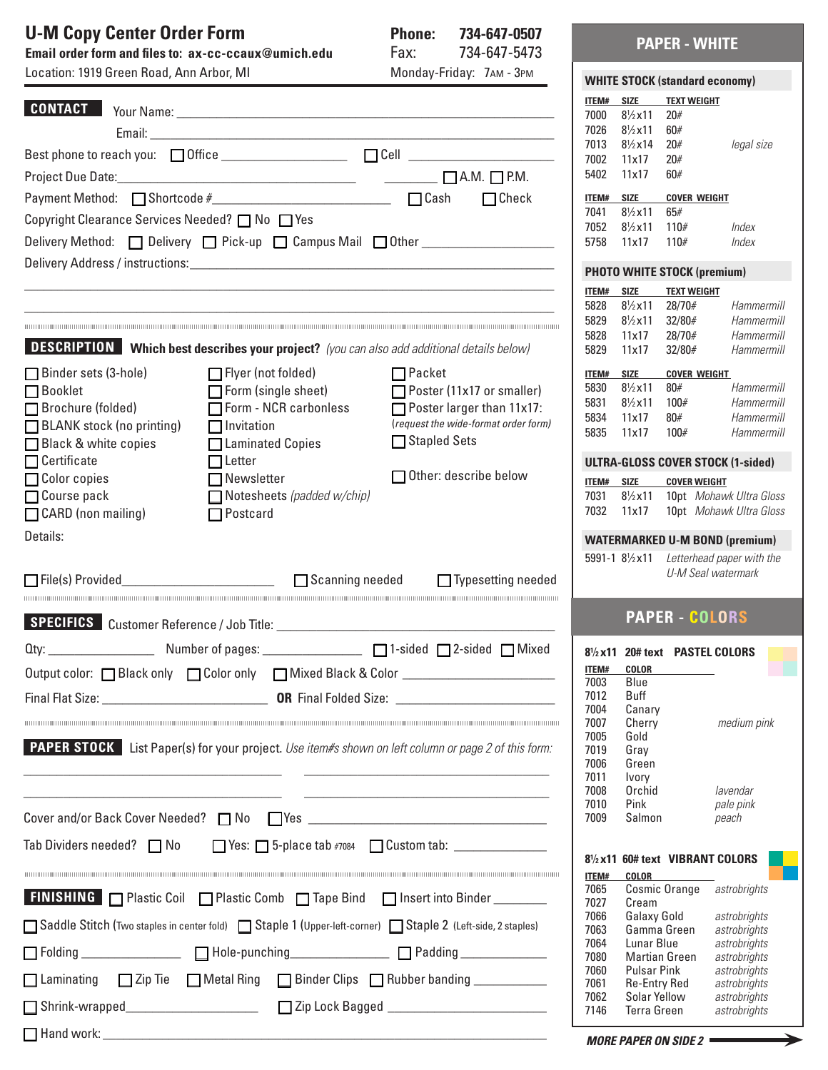# U-M Copy Center Order Form Phone: 734-647-0507

**Email order form and files to: ax-cc-ccaux@umich.edu** Fax: 734-647-5473 Location: 1919 Green Road, Ann Arbor, MI Monday-Friday: 7AM - 3PM

| LUCALIUII. TUTU UTEEII NUAU, ANII ATUUI, IVII   |                                                                                                                                                                                                                                                                                                                                                                                                                                                                    | $IVUUUUQY^TUUQY$ . $IAW = VVU$                                                                             |                      |                                                          |                              | <b>WHITE STOCK (standard economy)</b>                     |
|-------------------------------------------------|--------------------------------------------------------------------------------------------------------------------------------------------------------------------------------------------------------------------------------------------------------------------------------------------------------------------------------------------------------------------------------------------------------------------------------------------------------------------|------------------------------------------------------------------------------------------------------------|----------------------|----------------------------------------------------------|------------------------------|-----------------------------------------------------------|
| <b>CONTACT</b>                                  |                                                                                                                                                                                                                                                                                                                                                                                                                                                                    |                                                                                                            | <b>ITEM#</b>         | <b>SIZE</b>                                              | <b>TEXT WEIGHT</b>           |                                                           |
|                                                 |                                                                                                                                                                                                                                                                                                                                                                                                                                                                    |                                                                                                            | 7000                 | $8\frac{1}{2}x11$                                        | 20#                          |                                                           |
|                                                 |                                                                                                                                                                                                                                                                                                                                                                                                                                                                    |                                                                                                            | 7026                 | $8\frac{1}{2}x11$                                        | 60#                          |                                                           |
|                                                 |                                                                                                                                                                                                                                                                                                                                                                                                                                                                    |                                                                                                            | 7013<br>7002         | $8\frac{1}{2} \times 14$<br>11x17                        | 20#<br>20#                   | legal siz                                                 |
|                                                 | $\begin{tabular}{c} Project Due Date: \end{tabular} \begin{tabular}{l c c c c c c} \hline \multicolumn{3}{ c }{\textbf{Proof}~\textbf{D}} \end{tabular} \begin{tabular}{l c c c} \hline \multicolumn{3}{ c }{\textbf{Proof}~\textbf{D}} \end{tabular} \begin{tabular}{l c c c} \hline \multicolumn{3}{ c }{\textbf{C}} \end{tabular} \begin{tabular}{l c c c} \hline \multicolumn{3}{ c }{\textbf{C}} \end{tabular} \begin{tabular}{l c c c} \hline \multicolumn{$ |                                                                                                            | 5402                 | 11x17                                                    | 60#                          |                                                           |
|                                                 |                                                                                                                                                                                                                                                                                                                                                                                                                                                                    |                                                                                                            |                      |                                                          |                              |                                                           |
|                                                 |                                                                                                                                                                                                                                                                                                                                                                                                                                                                    |                                                                                                            | ITEM# SIZE<br>7041   | $8\frac{1}{2}x11$                                        | <b>COVER WEIGHT</b><br>65#   |                                                           |
| Copyright Clearance Services Needed? □ No □ Yes |                                                                                                                                                                                                                                                                                                                                                                                                                                                                    |                                                                                                            | 7052                 | $8\frac{1}{2}x11$                                        | 110#                         | Index                                                     |
|                                                 |                                                                                                                                                                                                                                                                                                                                                                                                                                                                    | Delivery Method: Delivery D Pick-up D Campus Mail D Other ______________________                           | 5758                 | 11x17                                                    | 110#                         | Index                                                     |
|                                                 |                                                                                                                                                                                                                                                                                                                                                                                                                                                                    |                                                                                                            |                      |                                                          |                              |                                                           |
|                                                 |                                                                                                                                                                                                                                                                                                                                                                                                                                                                    |                                                                                                            |                      | <b>PHOTO WHITE STOCK (premium)</b>                       |                              |                                                           |
|                                                 |                                                                                                                                                                                                                                                                                                                                                                                                                                                                    |                                                                                                            | ITEM#<br>5828        | <b>SIZE</b><br>$8\frac{1}{2}x11$                         | <b>TEXT WEIGHT</b><br>28/70# |                                                           |
|                                                 |                                                                                                                                                                                                                                                                                                                                                                                                                                                                    |                                                                                                            | 5829                 | $8\frac{1}{2}x11$                                        | 32/80#                       | Hammel<br>Hammel                                          |
|                                                 |                                                                                                                                                                                                                                                                                                                                                                                                                                                                    |                                                                                                            | 5828                 | 11x17                                                    | 28/70#                       | Hammel                                                    |
|                                                 | <b>DESCRIPTION</b> Which best describes your project? (you can also add additional details below)                                                                                                                                                                                                                                                                                                                                                                  |                                                                                                            | 5829                 | 11x17                                                    | 32/80#                       | Hammel                                                    |
| Binder sets (3-hole)                            | $\Box$ Flyer (not folded)                                                                                                                                                                                                                                                                                                                                                                                                                                          | $\Box$ Packet                                                                                              | ITEM#                | SIZE                                                     | <b>COVER WEIGHT</b>          |                                                           |
| $\Box$ Booklet                                  | $\Box$ Form (single sheet)                                                                                                                                                                                                                                                                                                                                                                                                                                         | Poster (11x17 or smaller)                                                                                  | 5830                 | $8\frac{1}{2}x11$                                        | 80#                          | Hammel                                                    |
| □ Brochure (folded)                             | $\Box$ Form - NCR carbonless                                                                                                                                                                                                                                                                                                                                                                                                                                       | $\Box$ Poster larger than 11x17:                                                                           | 5831                 | $8\frac{1}{2}x11$                                        | 100#                         | Hammer                                                    |
| BLANK stock (no printing)                       | $\Box$ Invitation                                                                                                                                                                                                                                                                                                                                                                                                                                                  | (request the wide-format order form)                                                                       | 5834                 | 11x17                                                    | 80#                          | Hamme                                                     |
| □ Black & white copies                          | □ Laminated Copies                                                                                                                                                                                                                                                                                                                                                                                                                                                 | □ Stapled Sets                                                                                             | 5835                 | 11x17                                                    | 100#                         | Hammel                                                    |
| $\Box$ Certificate                              | $\Box$ Letter                                                                                                                                                                                                                                                                                                                                                                                                                                                      |                                                                                                            |                      |                                                          |                              | <b>ULTRA-GLOSS COVER STOCK (1-sider</b>                   |
| □ Color copies                                  | $\Box$ Newsletter                                                                                                                                                                                                                                                                                                                                                                                                                                                  | $\Box$ Other: describe below                                                                               | ITEM# SIZE           |                                                          | <b>COVER WEIGHT</b>          |                                                           |
| $\Box$ Course pack                              | Notesheets (padded w/chip)                                                                                                                                                                                                                                                                                                                                                                                                                                         |                                                                                                            | 7031                 | $8\frac{1}{2}x11$                                        |                              | 10pt Mohawk Ultra G                                       |
| CARD (non mailing)                              | $\Box$ Postcard                                                                                                                                                                                                                                                                                                                                                                                                                                                    |                                                                                                            | 7032                 | 11x17                                                    |                              | 10pt Mohawk Ultra G                                       |
| Details:                                        |                                                                                                                                                                                                                                                                                                                                                                                                                                                                    |                                                                                                            |                      |                                                          |                              |                                                           |
|                                                 |                                                                                                                                                                                                                                                                                                                                                                                                                                                                    |                                                                                                            |                      |                                                          |                              | <b>WATERMARKED U-M BOND (premiur</b>                      |
|                                                 |                                                                                                                                                                                                                                                                                                                                                                                                                                                                    |                                                                                                            |                      | 5991-1 8 <sup>1</sup> / <sub>2</sub> x11                 |                              | Letterhead paper with<br>U-M Seal watermark               |
|                                                 |                                                                                                                                                                                                                                                                                                                                                                                                                                                                    | $\Box$ Typesetting needed                                                                                  |                      |                                                          |                              |                                                           |
|                                                 |                                                                                                                                                                                                                                                                                                                                                                                                                                                                    | <u> 1999 - Johann Harrison, Amerikaanse kommunister († 1908)</u>                                           |                      |                                                          |                              |                                                           |
|                                                 |                                                                                                                                                                                                                                                                                                                                                                                                                                                                    |                                                                                                            |                      |                                                          | <b>PAPER - COLORS</b>        |                                                           |
|                                                 |                                                                                                                                                                                                                                                                                                                                                                                                                                                                    |                                                                                                            |                      | 8 <sup>1</sup> / <sub>2</sub> x11 20# text PASTEL COLORS |                              |                                                           |
|                                                 |                                                                                                                                                                                                                                                                                                                                                                                                                                                                    | Output color: Black only Color only CMixed Black & Color ______________________                            | <b>ITEM#</b>         |                                                          | <b>COLOR</b>                 |                                                           |
|                                                 |                                                                                                                                                                                                                                                                                                                                                                                                                                                                    |                                                                                                            | 7003                 | Blue                                                     |                              |                                                           |
|                                                 |                                                                                                                                                                                                                                                                                                                                                                                                                                                                    |                                                                                                            | 7012<br>7004         | <b>Buff</b><br>Canary                                    |                              |                                                           |
|                                                 |                                                                                                                                                                                                                                                                                                                                                                                                                                                                    |                                                                                                            | 7007                 | Cherry                                                   |                              | medium pir                                                |
|                                                 |                                                                                                                                                                                                                                                                                                                                                                                                                                                                    |                                                                                                            | 7005                 | Gold                                                     |                              |                                                           |
|                                                 |                                                                                                                                                                                                                                                                                                                                                                                                                                                                    | <b>PAPER STOCK</b> List Paper(s) for your project. Use item#s shown on left column or page 2 of this form: | 7019<br>7006         | Gray<br>Green                                            |                              |                                                           |
|                                                 |                                                                                                                                                                                                                                                                                                                                                                                                                                                                    |                                                                                                            | 7011                 | Ivory                                                    |                              |                                                           |
|                                                 |                                                                                                                                                                                                                                                                                                                                                                                                                                                                    |                                                                                                            | 7008                 | Orchid                                                   |                              | lavendar                                                  |
|                                                 |                                                                                                                                                                                                                                                                                                                                                                                                                                                                    |                                                                                                            | 7010                 | Pink                                                     |                              | pale pink                                                 |
|                                                 |                                                                                                                                                                                                                                                                                                                                                                                                                                                                    |                                                                                                            | 7009                 | Salmon                                                   |                              | peach                                                     |
|                                                 | Tab Dividers needed? $\Box$ No $\Box$ Yes: $\Box$ 5-place tab #7084 $\Box$ Custom tab: $\Box$                                                                                                                                                                                                                                                                                                                                                                      |                                                                                                            |                      |                                                          |                              |                                                           |
|                                                 |                                                                                                                                                                                                                                                                                                                                                                                                                                                                    |                                                                                                            |                      |                                                          |                              | 8 <sup>1</sup> / <sub>2</sub> x11 60# text VIBRANT COLORS |
|                                                 |                                                                                                                                                                                                                                                                                                                                                                                                                                                                    |                                                                                                            | <b>ITEM#</b><br>7065 | COLOR                                                    |                              | Cosmic Orange astrobrights                                |
|                                                 | <b>FINISHING</b> $\Box$ Plastic Coil $\Box$ Plastic Comb $\Box$ Tape Bind $\Box$ Insert into Binder                                                                                                                                                                                                                                                                                                                                                                |                                                                                                            | 7027                 | Cream                                                    |                              |                                                           |
|                                                 |                                                                                                                                                                                                                                                                                                                                                                                                                                                                    |                                                                                                            | 7066                 | Galaxy Gold                                              |                              | astrobrights                                              |
|                                                 | □ Saddle Stitch (Two staples in center fold) □ Staple 1 (Upper-left-corner) □ Staple 2 (Left-side, 2 staples)                                                                                                                                                                                                                                                                                                                                                      |                                                                                                            | 7063                 | Gamma Green                                              |                              | astrobrights                                              |
|                                                 | $\fbox{Folding}\_$                                                                                                                                                                                                                                                                                                                                                                                                                                                 |                                                                                                            | 7064<br>7080         | Lunar Blue<br><b>Martian Green</b>                       |                              | astrobrights<br>astrobrights                              |
|                                                 |                                                                                                                                                                                                                                                                                                                                                                                                                                                                    |                                                                                                            | 7060                 | <b>Pulsar Pink</b>                                       |                              | astrobrights                                              |
|                                                 | □ Laminating □ Zip Tie □ Metal Ring □ Binder Clips □ Rubber banding __________                                                                                                                                                                                                                                                                                                                                                                                     |                                                                                                            | 7061                 | <b>Re-Entry Red</b>                                      |                              | astrobrights                                              |
|                                                 |                                                                                                                                                                                                                                                                                                                                                                                                                                                                    |                                                                                                            | 7062<br>7146         | Solar Yellow                                             |                              | astrobrights                                              |
|                                                 |                                                                                                                                                                                                                                                                                                                                                                                                                                                                    |                                                                                                            |                      | <b>Terra Green</b>                                       |                              | astrobrights                                              |

### **PAPER - WHITE**

|   |              |                                             | <b>WHITE STOCK (standard economy)</b>        |                                                                                                                           |
|---|--------------|---------------------------------------------|----------------------------------------------|---------------------------------------------------------------------------------------------------------------------------|
|   |              |                                             | <b>ITEM# SIZE TEXT WEIGHT</b>                |                                                                                                                           |
|   |              | 7000 8 <sup>1</sup> / <sub>2</sub> x 11 20# |                                              |                                                                                                                           |
|   |              |                                             |                                              |                                                                                                                           |
|   |              | 7026 8½x11 60#<br>7013 8½x14 20#            |                                              | legal size                                                                                                                |
|   |              | 7002 11x17 20#                              |                                              |                                                                                                                           |
|   |              | 5402 11x17 60#                              |                                              |                                                                                                                           |
|   |              |                                             | <b>ITEM# SIZE COVER WEIGHT</b>               |                                                                                                                           |
|   |              | 7041 81/2 x 11 65#                          |                                              |                                                                                                                           |
|   |              | 7052 $8\frac{1}{2} \times 11$ 110#          |                                              | Index                                                                                                                     |
|   |              | 5758 11x17 110#                             |                                              | Index                                                                                                                     |
|   |              |                                             |                                              |                                                                                                                           |
|   |              |                                             | <b>PHOTO WHITE STOCK (premium)</b>           |                                                                                                                           |
|   |              |                                             | <b>ITEM# SIZE TEXT WEIGHT</b>                |                                                                                                                           |
|   |              |                                             |                                              |                                                                                                                           |
| I |              |                                             |                                              | 5828 11x17 28/70# Hammermill                                                                                              |
|   |              |                                             |                                              | 5829 11x17 32/80# Hammermill                                                                                              |
|   |              |                                             |                                              |                                                                                                                           |
|   |              |                                             | ITEM# SIZE COVERWEIGHT<br>5830 8½x11 80#     |                                                                                                                           |
|   |              |                                             |                                              | $5830$ $8\frac{1}{2} \times 11$ $80\frac{1}{4}$ Hammermill<br>$5831$ $8\frac{1}{2} \times 11$ $100\frac{1}{4}$ Hammermill |
|   |              | 5834 11x17 80#                              |                                              | Hammermill                                                                                                                |
|   |              |                                             | 5835 11x17 100#                              | Hammermill                                                                                                                |
|   |              |                                             |                                              |                                                                                                                           |
|   |              |                                             |                                              | <b>ULTRA-GLOSS COVER STOCK (1-sided)</b>                                                                                  |
|   |              |                                             | <b>ITEM# SIZE COVER WEIGHT</b>               |                                                                                                                           |
|   |              |                                             |                                              | 7031 81/2 x 11 10pt Mohawk Ultra Gloss                                                                                    |
|   |              |                                             |                                              | 7032 11x17 10pt Mohawk Ultra Gloss                                                                                        |
|   |              |                                             |                                              |                                                                                                                           |
|   |              |                                             |                                              | <b>WATERMARKED U-M BOND (premium)</b>                                                                                     |
|   |              |                                             |                                              | 5991-1 81/2x11 Letterhead paper with the<br>U-M Seal watermark                                                            |
|   |              |                                             |                                              |                                                                                                                           |
|   |              |                                             | <b>PAPER - COLORS</b>                        |                                                                                                                           |
|   |              |                                             |                                              |                                                                                                                           |
|   |              |                                             | 8 <sup>1</sup> /2 x11 20# text PASTEL COLORS |                                                                                                                           |
|   |              | ITEM# COLOR                                 |                                              |                                                                                                                           |
|   | 7003         | Blue                                        |                                              |                                                                                                                           |
|   | 7012         |                                             |                                              |                                                                                                                           |
|   |              | Buff                                        |                                              |                                                                                                                           |
|   | 7004         | Canary                                      |                                              |                                                                                                                           |
|   | 7007         | Cherry                                      |                                              | medium pink                                                                                                               |
|   | 7005         | Gold                                        |                                              |                                                                                                                           |
|   | 7019         | Gray<br>Green                               |                                              |                                                                                                                           |
|   | 7006<br>7011 | Ivory                                       |                                              |                                                                                                                           |
|   | 7008         | Orchid                                      |                                              | lavendar                                                                                                                  |
|   | 7010         | Pink                                        |                                              | pale pink                                                                                                                 |
|   | 7009         | Salmon                                      |                                              | peach                                                                                                                     |
| I |              |                                             |                                              |                                                                                                                           |
|   |              |                                             | $8\frac{1}{2}$ x 11 60# text VIBRANT COLORS  |                                                                                                                           |
| I | ITEM#        | COLOR                                       |                                              |                                                                                                                           |
|   | 7065         |                                             | Cosmic Orange                                | astrobrights                                                                                                              |
|   | 7027         | Cream                                       |                                              |                                                                                                                           |
|   | 7066         | Galaxy Gold                                 |                                              | astrobrights                                                                                                              |
|   | 7063         | Gamma Green                                 |                                              | astrobrights                                                                                                              |
|   | 7064         | Lunar Blue                                  |                                              | astrobrights                                                                                                              |
|   | 7080<br>7060 | <b>Martian Green</b><br>Pulsar Pink         |                                              | astrobrights                                                                                                              |
|   | 7061         | <b>Re-Entry Red</b>                         |                                              | astrobrights<br>astrobrights                                                                                              |
|   | 7062         | Solar Yellow<br><b>Terra Green</b>          |                                              | astrobrights<br>astrobrights                                                                                              |

□ Hand work: \_\_\_\_\_\_\_\_\_\_\_\_\_\_\_\_\_\_\_\_\_\_\_\_\_\_\_\_\_\_\_\_\_\_\_\_\_\_\_\_\_\_\_\_\_\_\_\_\_\_\_\_\_\_\_\_\_\_\_\_\_\_\_\_\_\_\_ *MORE PAPER ON SIDE 2*